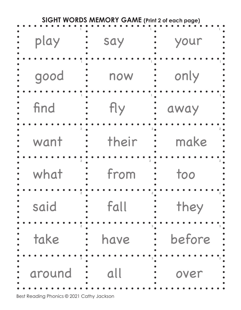| <b>SIGHT WORDS MEMORY GAME (Print 2 of each page)</b> |       |        |  |
|-------------------------------------------------------|-------|--------|--|
| play                                                  | say   | your   |  |
| good                                                  | now   | only   |  |
| find                                                  | fly   | away   |  |
| want                                                  | their | make   |  |
| what                                                  | from  | too    |  |
| said                                                  | fall  | they   |  |
| take                                                  | have  | before |  |
| around                                                | all   | over   |  |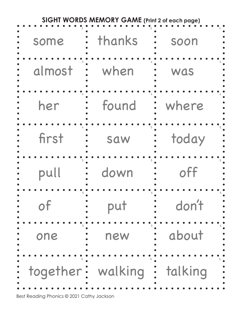| <b>SIGHT WORDS MEMORY GAME (Print 2 of each page)</b> |                             |       |  |
|-------------------------------------------------------|-----------------------------|-------|--|
| some                                                  | thanks                      | soon  |  |
| almost                                                | when                        | was   |  |
| her                                                   | found                       | where |  |
| first                                                 | saw                         | today |  |
| pull                                                  | down                        | off   |  |
| of                                                    | put                         | don't |  |
| one                                                   | new                         | about |  |
|                                                       | together: walking : talking |       |  |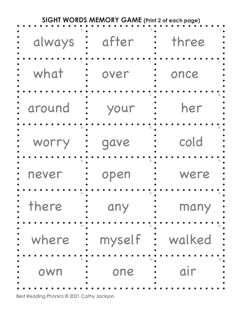| <b>SIGHT WORDS MEMORY GAME (Print 2 of each page)</b> |        |        |  |
|-------------------------------------------------------|--------|--------|--|
| always                                                | after  | three  |  |
| what                                                  | over   | once   |  |
| around                                                | your   | her    |  |
| worry                                                 | gave   | cold   |  |
| never                                                 | open   | were   |  |
| there                                                 | any    | many   |  |
| where                                                 | myself | walked |  |
| own                                                   | one    | air    |  |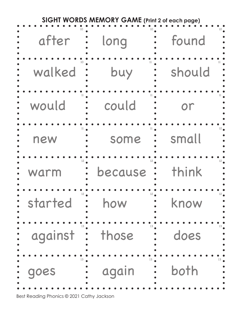| SIGHT WORDS MEMORY GAME (Print 2 of each page) |                         |            |  |
|------------------------------------------------|-------------------------|------------|--|
| after                                          | long                    | found      |  |
| walked                                         | buy                     | should     |  |
| would                                          | could                   | or         |  |
| new                                            | some                    | small      |  |
| $12^{\bullet}$<br>warm                         | because                 | think      |  |
| started                                        | $\ddot{\bullet}$<br>how | 12<br>know |  |
| against : those                                |                         | does       |  |
| goes                                           | again                   | both       |  |